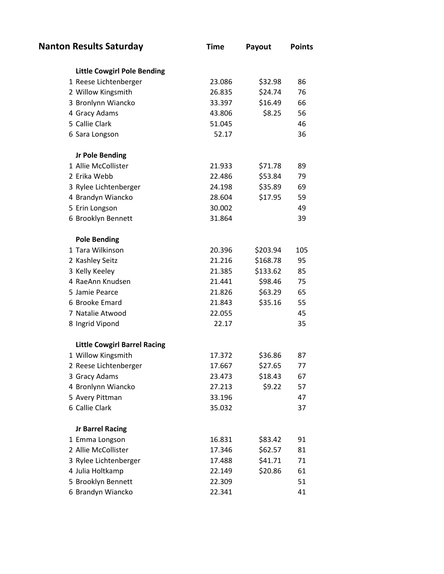| <b>Nanton Results Saturday</b>      | <b>Time</b> | Payout   | <b>Points</b> |
|-------------------------------------|-------------|----------|---------------|
| <b>Little Cowgirl Pole Bending</b>  |             |          |               |
| 1 Reese Lichtenberger               | 23.086      | \$32.98  | 86            |
| 2 Willow Kingsmith                  | 26.835      | \$24.74  | 76            |
| 3 Bronlynn Wiancko                  | 33.397      | \$16.49  | 66            |
| 4 Gracy Adams                       | 43.806      | \$8.25   | 56            |
| 5 Callie Clark                      | 51.045      |          | 46            |
| 6 Sara Longson                      | 52.17       |          | 36            |
| <b>Jr Pole Bending</b>              |             |          |               |
| 1 Allie McCollister                 | 21.933      | \$71.78  | 89            |
| 2 Erika Webb                        | 22.486      | \$53.84  | 79            |
| 3 Rylee Lichtenberger               | 24.198      | \$35.89  | 69            |
| 4 Brandyn Wiancko                   | 28.604      | \$17.95  | 59            |
| 5 Erin Longson                      | 30.002      |          | 49            |
| 6 Brooklyn Bennett                  | 31.864      |          | 39            |
| <b>Pole Bending</b>                 |             |          |               |
| 1 Tara Wilkinson                    | 20.396      | \$203.94 | 105           |
| 2 Kashley Seitz                     | 21.216      | \$168.78 | 95            |
| 3 Kelly Keeley                      | 21.385      | \$133.62 | 85            |
| 4 RaeAnn Knudsen                    | 21.441      | \$98.46  | 75            |
| 5 Jamie Pearce                      | 21.826      | \$63.29  | 65            |
| 6 Brooke Emard                      | 21.843      | \$35.16  | 55            |
| 7 Natalie Atwood                    | 22.055      |          | 45            |
| 8 Ingrid Vipond                     | 22.17       |          | 35            |
| <b>Little Cowgirl Barrel Racing</b> |             |          |               |
| 1 Willow Kingsmith                  | 17.372      | \$36.86  | 87            |
| 2 Reese Lichtenberger               | 17.667      | \$27.65  | 77            |
| 3 Gracy Adams                       | 23.473      | \$18.43  | 67            |
| 4 Bronlynn Wiancko                  | 27.213      | \$9.22   | 57            |
| 5 Avery Pittman                     | 33.196      |          | 47            |
| 6 Callie Clark                      | 35.032      |          | 37            |
| <b>Jr Barrel Racing</b>             |             |          |               |
| 1 Emma Longson                      | 16.831      | \$83.42  | 91            |
| 2 Allie McCollister                 | 17.346      | \$62.57  | 81            |
| 3 Rylee Lichtenberger               | 17.488      | \$41.71  | 71            |
| 4 Julia Holtkamp                    | 22.149      | \$20.86  | 61            |
| 5 Brooklyn Bennett                  | 22.309      |          | 51            |
| 6 Brandyn Wiancko                   | 22.341      |          | 41            |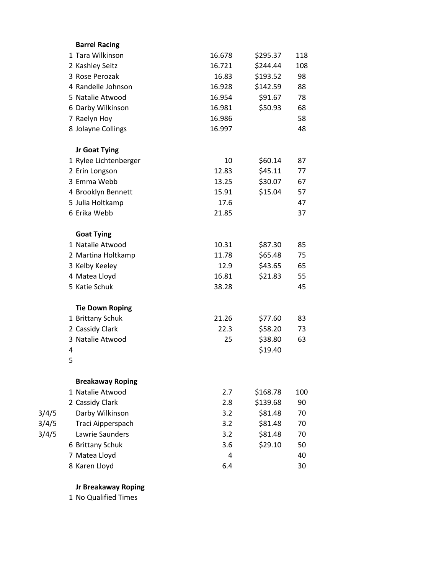|       | <b>Barrel Racing</b>    |        |          |     |
|-------|-------------------------|--------|----------|-----|
|       | 1 Tara Wilkinson        | 16.678 | \$295.37 | 118 |
|       | 2 Kashley Seitz         | 16.721 | \$244.44 | 108 |
|       | 3 Rose Perozak          | 16.83  | \$193.52 | 98  |
|       | 4 Randelle Johnson      | 16.928 | \$142.59 | 88  |
|       | 5 Natalie Atwood        | 16.954 | \$91.67  | 78  |
|       | 6 Darby Wilkinson       | 16.981 | \$50.93  | 68  |
|       | 7 Raelyn Hoy            | 16.986 |          | 58  |
|       | 8 Jolayne Collings      | 16.997 |          | 48  |
|       | Jr Goat Tying           |        |          |     |
|       | 1 Rylee Lichtenberger   | 10     | \$60.14  | 87  |
|       | 2 Erin Longson          | 12.83  | \$45.11  | 77  |
|       | 3 Emma Webb             | 13.25  | \$30.07  | 67  |
|       | 4 Brooklyn Bennett      | 15.91  | \$15.04  | 57  |
|       | 5 Julia Holtkamp        | 17.6   |          | 47  |
|       | 6 Erika Webb            | 21.85  |          | 37  |
|       | <b>Goat Tying</b>       |        |          |     |
|       | 1 Natalie Atwood        | 10.31  | \$87.30  | 85  |
|       | 2 Martina Holtkamp      | 11.78  | \$65.48  | 75  |
|       | 3 Kelby Keeley          | 12.9   | \$43.65  | 65  |
|       | 4 Matea Lloyd           | 16.81  | \$21.83  | 55  |
|       | 5 Katie Schuk           | 38.28  |          | 45  |
|       | <b>Tie Down Roping</b>  |        |          |     |
|       | 1 Brittany Schuk        | 21.26  | \$77.60  | 83  |
|       | 2 Cassidy Clark         | 22.3   | \$58.20  | 73  |
|       | 3 Natalie Atwood        | 25     | \$38.80  | 63  |
|       | 4                       |        | \$19.40  |     |
|       | 5                       |        |          |     |
|       | <b>Breakaway Roping</b> |        |          |     |
|       | 1 Natalie Atwood        | 2.7    | \$168.78 | 100 |
|       | 2 Cassidy Clark         | 2.8    | \$139.68 | 90  |
| 3/4/5 | Darby Wilkinson         | 3.2    | \$81.48  | 70  |
| 3/4/5 | Traci Aipperspach       | 3.2    | \$81.48  | 70  |
| 3/4/5 | Lawrie Saunders         | 3.2    | \$81.48  | 70  |
|       | 6 Brittany Schuk        | 3.6    | \$29.10  | 50  |
|       | 7 Matea Lloyd           | 4      |          | 40  |
|       | 8 Karen Lloyd           | 6.4    |          | 30  |
|       |                         |        |          |     |

**Jr Breakaway Roping**

No Qualified Times